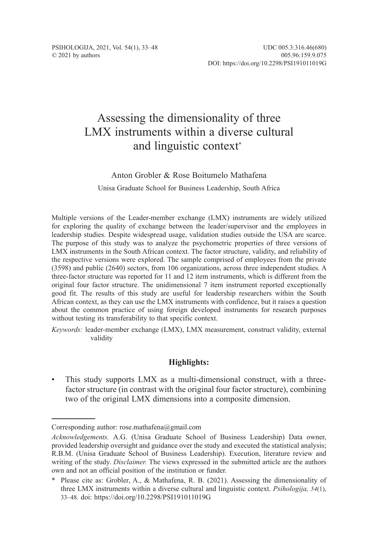# Assessing the dimensionality of three LMX instruments within a diverse cultural and linguistic context\*

# Anton Grobler & Rose Boitumelo Mathafena

Unisa Graduate School for Business Leadership, South Africa

Multiple versions of the Leader-member exchange (LMX) instruments are widely utilized for exploring the quality of exchange between the leader/supervisor and the employees in leadership studies. Despite widespread usage, validation studies outside the USA are scarce. The purpose of this study was to analyze the psychometric properties of three versions of LMX instruments in the South African context. The factor structure, validity, and reliability of the respective versions were explored. The sample comprised of employees from the private (3598) and public (2640) sectors, from 106 organizations, across three independent studies. A three-factor structure was reported for 11 and 12 item instruments, which is different from the original four factor structure. The unidimensional 7 item instrument reported exceptionally good fit. The results of this study are useful for leadership researchers within the South African context, as they can use the LMX instruments with confidence, but it raises a question about the common practice of using foreign developed instruments for research purposes without testing its transferability to that specific context.

*Keywords:* leader-member exchange (LMX), LMX measurement, construct validity, external validity

# **Highlights:**

• This study supports LMX as a multi-dimensional construct, with a threefactor structure (in contrast with the original four factor structure), combining two of the original LMX dimensions into a composite dimension.

Corresponding author: rose.mathafena@gmail.com

*Acknowledgements.* A.G. (Unisa Graduate School of Business Leadership) Data owner, provided leadership oversight and guidance over the study and executed the statistical analysis; R.B.M. (Unisa Graduate School of Business Leadership). Execution, literature review and writing of the study. *Disclaimer.* The views expressed in the submitted article are the authors own and not an official position of the institution or funder.

<sup>\*</sup> Please cite as: Grobler, A., & Mathafena, R. B. (2021). Assessing the dimensionality of three LMX instruments within a diverse cultural and linguistic context. *Psihologija, 54*(1), 33–48*.* doi: https://doi.org/10.2298/PSI191011019G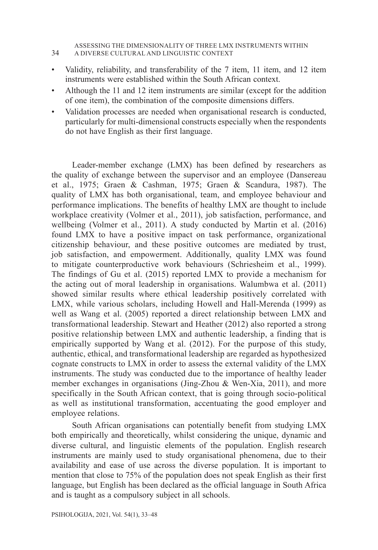#### ASSESSING THE DIMENSIONALITY OF THREE LMX INSTRUMENTS WITHIN 34 A DIVERSE CULTURAL AND LINGUISTIC CONTEXT

- Validity, reliability, and transferability of the 7 item, 11 item, and 12 item instruments were established within the South African context.
- Although the 11 and 12 item instruments are similar (except for the addition of one item), the combination of the composite dimensions differs.
- Validation processes are needed when organisational research is conducted, particularly for multi-dimensional constructs especially when the respondents do not have English as their first language.

Leader-member exchange (LMX) has been defined by researchers as the quality of exchange between the supervisor and an employee (Dansereau et al., 1975; Graen & Cashman, 1975; Graen & Scandura, 1987). The quality of LMX has both organisational, team, and employee behaviour and performance implications. The benefits of healthy LMX are thought to include workplace creativity (Volmer et al., 2011), job satisfaction, performance, and wellbeing (Volmer et al., 2011). A study conducted by Martin et al. (2016) found LMX to have a positive impact on task performance, organizational citizenship behaviour, and these positive outcomes are mediated by trust, job satisfaction, and empowerment. Additionally, quality LMX was found to mitigate counterproductive work behaviours (Schriesheim et al., 1999). The findings of Gu et al. (2015) reported LMX to provide a mechanism for the acting out of moral leadership in organisations. Walumbwa et al. (2011) showed similar results where ethical leadership positively correlated with LMX, while various scholars, including Howell and Hall-Merenda (1999) as well as Wang et al. (2005) reported a direct relationship between LMX and transformational leadership. Stewart and Heather (2012) also reported a strong positive relationship between LMX and authentic leadership, a finding that is empirically supported by Wang et al. (2012). For the purpose of this study, authentic, ethical, and transformational leadership are regarded as hypothesized cognate constructs to LMX in order to assess the external validity of the LMX instruments. The study was conducted due to the importance of healthy leader member exchanges in organisations (Jing-Zhou & Wen-Xia, 2011), and more specifically in the South African context, that is going through socio-political as well as institutional transformation, accentuating the good employer and employee relations.

South African organisations can potentially benefit from studying LMX both empirically and theoretically, whilst considering the unique, dynamic and diverse cultural, and linguistic elements of the population. English research instruments are mainly used to study organisational phenomena, due to their availability and ease of use across the diverse population. It is important to mention that close to 75% of the population does not speak English as their first language, but English has been declared as the official language in South Africa and is taught as a compulsory subject in all schools.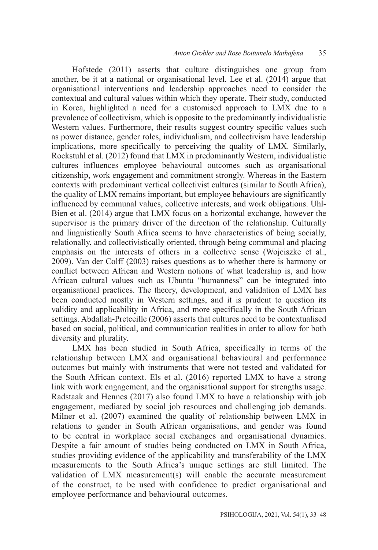Hofstede (2011) asserts that culture distinguishes one group from another, be it at a national or organisational level. Lee et al. (2014) argue that organisational interventions and leadership approaches need to consider the contextual and cultural values within which they operate. Their study, conducted in Korea, highlighted a need for a customised approach to LMX due to a prevalence of collectivism, which is opposite to the predominantly individualistic Western values. Furthermore, their results suggest country specific values such as power distance, gender roles, individualism, and collectivism have leadership implications, more specifically to perceiving the quality of LMX. Similarly, Rockstuhl et al. (2012) found that LMX in predominantly Western, individualistic cultures influences employee behavioural outcomes such as organisational citizenship, work engagement and commitment strongly. Whereas in the Eastern contexts with predominant vertical collectivist cultures (similar to South Africa), the quality of LMX remains important, but employee behaviours are significantly influenced by communal values, collective interests, and work obligations. Uhl-Bien et al. (2014) argue that LMX focus on a horizontal exchange, however the supervisor is the primary driver of the direction of the relationship. Culturally and linguistically South Africa seems to have characteristics of being socially, relationally, and collectivistically oriented, through being communal and placing emphasis on the interests of others in a collective sense (Wojciszke et al., 2009). Van der Colff (2003) raises questions as to whether there is harmony or conflict between African and Western notions of what leadership is, and how African cultural values such as Ubuntu "humanness" can be integrated into organisational practices. The theory, development, and validation of LMX has been conducted mostly in Western settings, and it is prudent to question its validity and applicability in Africa, and more specifically in the South African settings. Abdallah-Pretceille (2006) asserts that cultures need to be contextualised based on social, political, and communication realities in order to allow for both diversity and plurality.

LMX has been studied in South Africa, specifically in terms of the relationship between LMX and organisational behavioural and performance outcomes but mainly with instruments that were not tested and validated for the South African context. Els et al. (2016) reported LMX to have a strong link with work engagement, and the organisational support for strengths usage. Radstaak and Hennes (2017) also found LMX to have a relationship with job engagement, mediated by social job resources and challenging job demands. Milner et al. (2007) examined the quality of relationship between LMX in relations to gender in South African organisations, and gender was found to be central in workplace social exchanges and organisational dynamics. Despite a fair amount of studies being conducted on LMX in South Africa, studies providing evidence of the applicability and transferability of the LMX measurements to the South Africa's unique settings are still limited. The validation of LMX measurement(s) will enable the accurate measurement of the construct, to be used with confidence to predict organisational and employee performance and behavioural outcomes.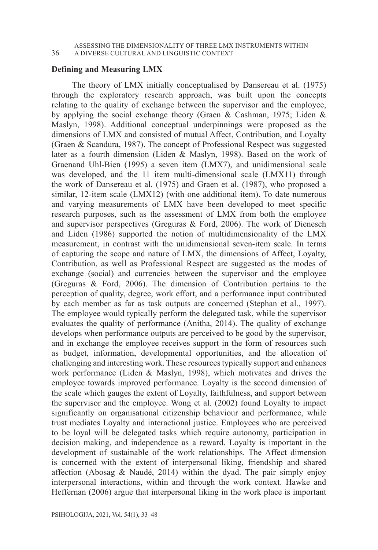ASSESSING THE DIMENSIONALITY OF THREE LMX INSTRUMENTS WITHIN 36 A DIVERSE CULTURAL AND LINGUISTIC CONTEXT

### **Defining and Measuring LMX**

The theory of LMX initially conceptualised by Dansereau et al. (1975) through the exploratory research approach, was built upon the concepts relating to the quality of exchange between the supervisor and the employee, by applying the social exchange theory (Graen & Cashman, 1975; Liden & Maslyn, 1998). Additional conceptual underpinnings were proposed as the dimensions of LMX and consisted of mutual Affect, Contribution, and Loyalty (Graen & Scandura, 1987). The concept of Professional Respect was suggested later as a fourth dimension (Liden & Maslyn, 1998). Based on the work of Graenand Uhl-Bien (1995) a seven item (LMX7), and unidimensional scale was developed, and the 11 item multi-dimensional scale (LMX11) through the work of Dansereau et al. (1975) and Graen et al. (1987), who proposed a similar, 12-item scale (LMX12) (with one additional item). To date numerous and varying measurements of LMX have been developed to meet specific research purposes, such as the assessment of LMX from both the employee and supervisor perspectives (Greguras & Ford, 2006). The work of Dienesch and Liden (1986) supported the notion of multidimensionality of the LMX measurement, in contrast with the unidimensional seven-item scale. In terms of capturing the scope and nature of LMX, the dimensions of Affect, Loyalty, Contribution, as well as Professional Respect are suggested as the modes of exchange (social) and currencies between the supervisor and the employee (Greguras & Ford, 2006). The dimension of Contribution pertains to the perception of quality, degree, work effort, and a performance input contributed by each member as far as task outputs are concerned (Stephan et al., 1997). The employee would typically perform the delegated task, while the supervisor evaluates the quality of performance (Anitha, 2014). The quality of exchange develops when performance outputs are perceived to be good by the supervisor, and in exchange the employee receives support in the form of resources such as budget, information, developmental opportunities, and the allocation of challenging and interesting work. These resources typically support and enhances work performance (Liden & Maslyn, 1998), which motivates and drives the employee towards improved performance. Loyalty is the second dimension of the scale which gauges the extent of Loyalty, faithfulness, and support between the supervisor and the employee. Wong et al. (2002) found Loyalty to impact significantly on organisational citizenship behaviour and performance, while trust mediates Loyalty and interactional justice. Employees who are perceived to be loyal will be delegated tasks which require autonomy, participation in decision making, and independence as a reward. Loyalty is important in the development of sustainable of the work relationships. The Affect dimension is concerned with the extent of interpersonal liking, friendship and shared affection (Abosag & Naudé, 2014) within the dyad. The pair simply enjoy interpersonal interactions, within and through the work context. Hawke and Heffernan (2006) argue that interpersonal liking in the work place is important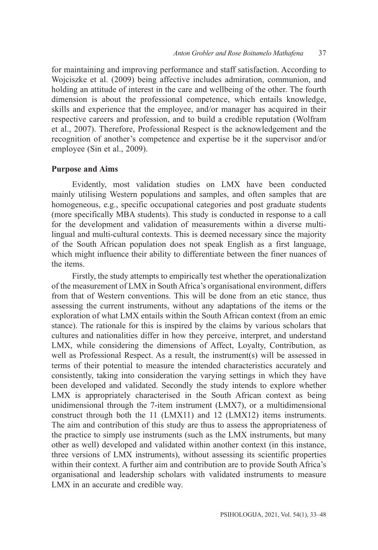for maintaining and improving performance and staff satisfaction. According to Wojciszke et al. (2009) being affective includes admiration, communion, and holding an attitude of interest in the care and wellbeing of the other. The fourth dimension is about the professional competence, which entails knowledge, skills and experience that the employee, and/or manager has acquired in their respective careers and profession, and to build a credible reputation (Wolfram et al., 2007). Therefore, Professional Respect is the acknowledgement and the recognition of another's competence and expertise be it the supervisor and/or employee (Sin et al., 2009).

# **Purpose and Aims**

Evidently, most validation studies on LMX have been conducted mainly utilising Western populations and samples, and often samples that are homogeneous, e.g., specific occupational categories and post graduate students (more specifically MBA students). This study is conducted in response to a call for the development and validation of measurements within a diverse multilingual and multi-cultural contexts. This is deemed necessary since the majority of the South African population does not speak English as a first language, which might influence their ability to differentiate between the finer nuances of the items.

Firstly, the study attempts to empirically test whether the operationalization of the measurement of LMX in South Africa's organisational environment, differs from that of Western conventions. This will be done from an etic stance, thus assessing the current instruments, without any adaptations of the items or the exploration of what LMX entails within the South African context (from an emic stance). The rationale for this is inspired by the claims by various scholars that cultures and nationalities differ in how they perceive, interpret, and understand LMX, while considering the dimensions of Affect, Loyalty, Contribution, as well as Professional Respect. As a result, the instrument(s) will be assessed in terms of their potential to measure the intended characteristics accurately and consistently, taking into consideration the varying settings in which they have been developed and validated. Secondly the study intends to explore whether LMX is appropriately characterised in the South African context as being unidimensional through the 7-item instrument (LMX7), or a multidimensional construct through both the 11 (LMX11) and 12 (LMX12) items instruments. The aim and contribution of this study are thus to assess the appropriateness of the practice to simply use instruments (such as the LMX instruments, but many other as well) developed and validated within another context (in this instance, three versions of LMX instruments), without assessing its scientific properties within their context. A further aim and contribution are to provide South Africa's organisational and leadership scholars with validated instruments to measure LMX in an accurate and credible way.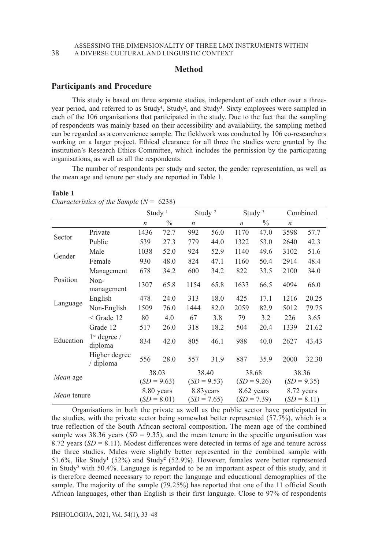### **Method**

### **Participants and Procedure**

This study is based on three separate studies, independent of each other over a threeyear period, and referred to as Study**<sup>1</sup>** , Study**<sup>2</sup>** , and Study**<sup>3</sup>** . Sixty employees were sampled in each of the 106 organisations that participated in the study. Due to the fact that the sampling of respondents was mainly based on their accessibility and availability, the sampling method can be regarded as a convenience sample. The fieldwork was conducted by 106 co-researchers working on a larger project. Ethical clearance for all three the studies were granted by the institution's Research Ethics Committee, which includes the permission by the participating organisations, as well as all the respondents.

The number of respondents per study and sector, the gender representation, as well as the mean age and tenure per study are reported in Table 1.

|             |                                     | Study <sup><math>1</math></sup> |               | Study <sup>2</sup> |      | Study $3$        |               | Combined         |       |
|-------------|-------------------------------------|---------------------------------|---------------|--------------------|------|------------------|---------------|------------------|-------|
|             |                                     | $\boldsymbol{n}$                | $\frac{0}{0}$ | $\boldsymbol{n}$   |      | $\boldsymbol{n}$ | $\frac{0}{0}$ | $\boldsymbol{n}$ |       |
| Sector      | Private                             | 1436                            | 72.7          | 992                | 56.0 | 1170             | 47.0          | 3598             | 57.7  |
|             | Public                              | 539                             | 27.3          | 779                | 44.0 | 1322             | 53.0          | 2640             | 42.3  |
| Gender      | Male                                | 1038                            | 52.0          | 924                | 52.9 | 1140             | 49.6          | 3102             | 51.6  |
|             | Female                              | 930                             | 48.0          | 824                | 47.1 | 1160             | 50.4          | 2914             | 48.4  |
|             | Management                          | 678                             | 34.2          | 600                | 34.2 | 822              | 33.5          | 2100             | 34.0  |
| Position    | Non-<br>management                  | 1307                            | 65.8          | 1154               | 65.8 | 1633             | 66.5          | 4094             | 66.0  |
|             | English                             | 478                             | 24.0          | 313                | 18.0 | 425              | 17.1          | 1216             | 20.25 |
| Language    | Non-English                         | 1509                            | 76.0          | 1444               | 82.0 | 2059             | 82.9          | 5012             | 79.75 |
|             | $\leq$ Grade 12                     | 80                              | 4.0           | 67                 | 3.8  | 79               | 3.2           | 226              | 3.65  |
|             | Grade 12                            | 517                             | 26.0          | 318                | 18.2 | 504              | 20.4          | 1339             | 21.62 |
| Education   | 1 <sup>st</sup> degree /<br>diploma | 834                             | 42.0          | 805                | 46.1 | 988              | 40.0          | 2627             | 43.43 |
|             | Higher degree<br>/ diploma          | 556                             | 28.0          | 557                | 31.9 | 887              | 35.9          | 2000             | 32.30 |
| Mean age    |                                     | 38.03                           |               | 38.40              |      | 38.68            |               | 38.36            |       |
|             |                                     | $(SD = 9.63)$                   |               | $(SD = 9.53)$      |      | $(SD = 9.26)$    |               | $(SD = 9.35)$    |       |
| Mean tenure |                                     | 8.80 years                      |               | 8.83 years         |      | 8.62 years       |               | 8.72 years       |       |
|             |                                     | $(SD = 8.01)$                   |               | $(SD = 7.65)$      |      | $(SD = 7.39)$    |               | $(SD = 8.11)$    |       |

#### **Table 1**

*Characteristics of the Sample* (*N* = 6238)

Organisations in both the private as well as the public sector have participated in the studies, with the private sector being somewhat better represented (57.7%), which is a true reflection of the South African sectoral composition. The mean age of the combined sample was 38.36 years  $(SD = 9.35)$ , and the mean tenure in the specific organisation was 8.72 years  $(SD = 8.11)$ . Modest differences were detected in terms of age and tenure across the three studies. Males were slightly better represented in the combined sample with 51.6%, like Study**<sup>1</sup>** (52%) and Study**<sup>2</sup>** (52.9%). However, females were better represented in Study**<sup>2</sup>** with 50.4%. Language is regarded to be an important aspect of this study, and it is therefore deemed necessary to report the language and educational demographics of the sample. The majority of the sample (79.25%) has reported that one of the 11 official South African languages, other than English is their first language. Close to 97% of respondents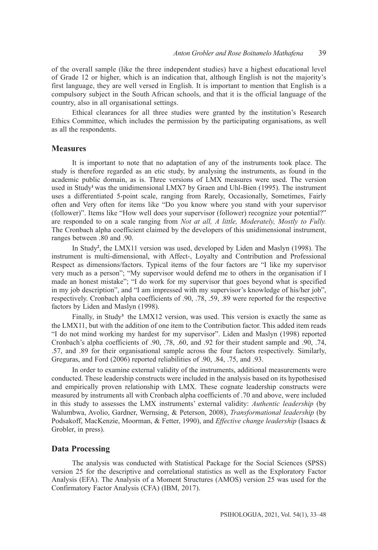of the overall sample (like the three independent studies) have a highest educational level of Grade 12 or higher, which is an indication that, although English is not the majority's first language, they are well versed in English. It is important to mention that English is a compulsory subject in the South African schools, and that it is the official language of the country, also in all organisational settings.

Ethical clearances for all three studies were granted by the institution's Research Ethics Committee, which includes the permission by the participating organisations, as well as all the respondents.

### **Measures**

It is important to note that no adaptation of any of the instruments took place. The study is therefore regarded as an etic study, by analysing the instruments, as found in the academic public domain, as is. Three versions of LMX measures were used. The version used in Study**1** was the unidimensional LMX7 by Graen and Uhl-Bien (1995). The instrument uses a differentiated 5-point scale, ranging from Rarely, Occasionally, Sometimes, Fairly often and Very often for items like "Do you know where you stand with your supervisor (follower)". Items like "How well does your supervisor (follower) recognize your potential?" are responded to on a scale ranging from *Not at all, A little, Moderately, Mostly to Fully.* The Cronbach alpha coefficient claimed by the developers of this unidimensional instrument, ranges between .80 and .90.

In Study**<sup>2</sup>** , the LMX11 version was used, developed by Liden and Maslyn (1998). The instrument is multi-dimensional, with Affect-, Loyalty and Contribution and Professional Respect as dimensions/factors. Typical items of the four factors are "I like my supervisor very much as a person"; "My supervisor would defend me to others in the organisation if I made an honest mistake"; "I do work for my supervisor that goes beyond what is specified in my job description", and "I am impressed with my supervisor's knowledge of his/her job", respectively. Cronbach alpha coefficients of .90, .78, .59, .89 were reported for the respective factors by Liden and Maslyn (1998).

Finally, in Study<sup>3</sup> the LMX12 version, was used. This version is exactly the same as the LMX11, but with the addition of one item to the Contribution factor. This added item reads "I do not mind working my hardest for my supervisor". Liden and Maslyn (1998) reported Cronbach's alpha coefficients of .90, .78, .60, and .92 for their student sample and .90, .74, .57, and .89 for their organisational sample across the four factors respectively. Similarly, Greguras, and Ford (2006) reported reliabilities of .90, .84, .75, and .93.

In order to examine external validity of the instruments, additional measurements were conducted. These leadership constructs were included in the analysis based on its hypothesised and empirically proven relationship with LMX. These cognate leadership constructs were measured by instruments all with Cronbach alpha coefficients of .70 and above, were included in this study to assesses the LMX instruments' external validity: *Authentic leadership* (by Walumbwa, Avolio, Gardner, Wernsing, & Peterson, 2008), *Transformational leadership* (by Podsakoff, MacKenzie, Moorman, & Fetter, 1990), and *Effective change leadership* (Isaacs & Grobler, in press).

### **Data Processing**

The analysis was conducted with Statistical Package for the Social Sciences (SPSS) version 25 for the descriptive and correlational statistics as well as the Exploratory Factor Analysis (EFA). The Analysis of a Moment Structures (AMOS) version 25 was used for the Confirmatory Factor Analysis (CFA) (IBM, 2017).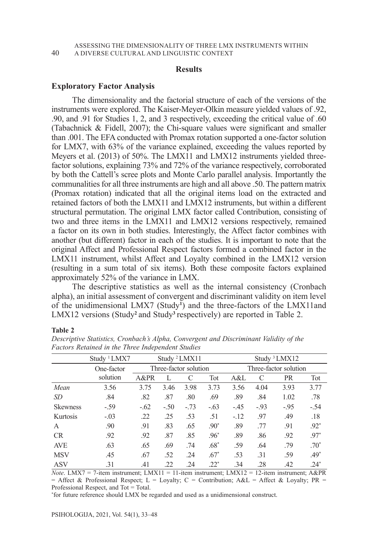### **Results**

### **Exploratory Factor Analysis**

The dimensionality and the factorial structure of each of the versions of the instruments were explored. The Kaiser-Meyer-Olkin measure yielded values of .92, .90, and .91 for Studies 1, 2, and 3 respectively, exceeding the critical value of .60 (Tabachnick & Fidell, 2007); the Chi-square values were significant and smaller than .001. The EFA conducted with Promax rotation supported a one-factor solution for LMX7, with 63% of the variance explained, exceeding the values reported by Meyers et al. (2013) of 50%. The LMX11 and LMX12 instruments yielded threefactor solutions, explaining 73% and 72% of the variance respectively, corroborated by both the Cattell's scree plots and Monte Carlo parallel analysis. Importantly the communalities for all three instruments are high and all above .50. The pattern matrix (Promax rotation) indicated that all the original items load on the extracted and retained factors of both the LMX11 and LMX12 instruments, but within a different structural permutation. The original LMX factor called Contribution, consisting of two and three items in the LMX11 and LMX12 versions respectively, remained a factor on its own in both studies. Interestingly, the Affect factor combines with another (but different) factor in each of the studies. It is important to note that the original Affect and Professional Respect factors formed a combined factor in the LMX11 instrument, whilst Affect and Loyalty combined in the LMX12 version (resulting in a sum total of six items). Both these composite factors explained approximately 52% of the variance in LMX.

The descriptive statistics as well as the internal consistency (Cronbach alpha), an initial assessment of convergent and discriminant validity on item level of the unidimensional LMX7 (Study**<sup>1</sup>** ) and the three-factors of the LMX11and LMX12 versions (Study**2** and Study**3** respectively) are reported in Table 2.

#### **Table 2**

|                 | Study <sup>1</sup> LMX7 | Study <sup>2</sup> LMX11 |        |        |        | Study <sup>3</sup> LMX12 |       |           |        |
|-----------------|-------------------------|--------------------------|--------|--------|--------|--------------------------|-------|-----------|--------|
|                 | One-factor              | Three-factor solution    |        |        |        | Three-factor solution    |       |           |        |
|                 | solution                | A&PR                     |        | C      | Tot    | A&L                      | C     | <b>PR</b> | Tot    |
| Mean            | 3.56                    | 3.75                     | 3.46   | 3.98   | 3.73   | 3.56                     | 4.04  | 3.93      | 3.77   |
| <i>SD</i>       | .84                     | .82                      | .87    | .80    | .69    | .89                      | .84   | 1.02      | .78    |
| <b>Skewness</b> | $-.59$                  | $-.62$                   | $-.50$ | $-.73$ | $-.63$ | $-.45$                   | $-93$ | $-.95$    | $-.54$ |
| Kurtosis        | $-.03$                  | .22                      | .25    | .53    | .51    | $-.12$                   | .97   | .49       | .18    |
| A               | .90                     | .91                      | .83    | .65    | $.90*$ | .89                      | .77   | .91       | $.92*$ |
| CR              | .92                     | .92                      | .87    | .85    | $.96*$ | .89                      | .86   | .92       | $.97*$ |
| <b>AVE</b>      | .63                     | .65                      | .69    | .74    | $.68*$ | .59                      | .64   | .79       | $.70*$ |
| <b>MSV</b>      | .45                     | .67                      | .52    | .24    | $.67*$ | .53                      | .31   | .59       | $.49*$ |
| <b>ASV</b>      | .31                     | .41                      | .22    | .24    | $.22*$ | .34                      | .28   | .42       | $.24*$ |

*Descriptive Statistics, Cronbach's Alpha, Convergent and Discriminant Validity of the Factors Retained in the Three Independent Studies*

*Note*. LMX7 = 7-item instrument; LMX11 = 11-item instrument; LMX12 = 12-item instrument; A&PR = Affect & Professional Respect; L = Loyalty; C = Contribution;  $A &L = A$  ffect & Loyalty; PR = Professional Respect, and Tot = Total.

\* for future reference should LMX be regarded and used as a unidimensional construct.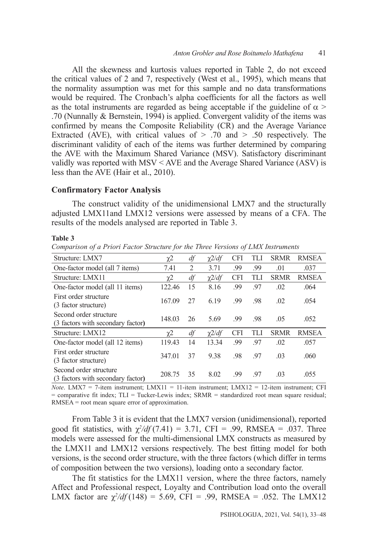All the skewness and kurtosis values reported in Table 2, do not exceed the critical values of 2 and 7, respectively (West et al., 1995), which means that the normality assumption was met for this sample and no data transformations would be required. The Cronbach's alpha coefficients for all the factors as well as the total instruments are regarded as being acceptable if the guideline of  $\alpha$  > .70 (Nunnally & Bernstein, 1994) is applied. Convergent validity of the items was confirmed by means the Composite Reliability (CR) and the Average Variance Extracted (AVE), with critical values of  $> .70$  and  $> .50$  respectively. The discriminant validity of each of the items was further determined by comparing the AVE with the Maximum Shared Variance (MSV). Satisfactory discriminant validly was reported with MSV < AVE and the Average Shared Variance (ASV) is less than the AVE (Hair et al., 2010).

# **Confirmatory Factor Analysis**

The construct validity of the unidimensional LMX7 and the structurally adjusted LMX11and LMX12 versions were assessed by means of a CFA. The results of the models analysed are reported in Table 3.

#### **Table 3**

*Comparison of a Priori Factor Structure for the Three Versions of LMX Instruments*

| Structure: LMX7                                             | $\chi$ 2 | df             | $\chi$ 2/df | <b>CFI</b> | TLI | <b>SRMR</b> | <b>RMSEA</b> |
|-------------------------------------------------------------|----------|----------------|-------------|------------|-----|-------------|--------------|
| One-factor model (all 7 items)                              | 7.41     | $\overline{c}$ | 3.71        | .99        | .99 | .01         | .037         |
| Structure: LMX11                                            | $\chi^2$ | df             | $\chi$ 2/df | <b>CFI</b> | TLI | <b>SRMR</b> | <b>RMSEA</b> |
| One-factor model (all 11 items)                             | 122.46   | 15             | 8.16        | .99        | .97 | .02         | .064         |
| First order structure<br>(3 factor structure)               | 167.09   | 27             | 6.19        | .99        | .98 | .02         | .054         |
| Second order structure<br>(3 factors with secondary factor) | 148.03   | 26             | 5.69        | .99        | .98 | .05         | .052         |
| Structure: LMX12                                            | χ2       | df             | $\chi$ 2/df | CFI        | TLI | <b>SRMR</b> | <b>RMSEA</b> |
| One-factor model (all 12 items)                             | 119.43   | 14             | 13.34       | .99        | .97 | .02         | .057         |
| First order structure<br>(3 factor structure)               | 347.01   | 37             | 9.38        | .98        | .97 | .03         | .060         |
| Second order structure<br>(3 factors with secondary factor) | 208.75   | 35             | 8.02        | .99        | .97 | .03         | .055         |

*Note*. LMX7 = 7-item instrument; LMX11 = 11-item instrument; LMX12 = 12-item instrument; CFI  $=$  comparative fit index;  $TLI = Tucker-Lewis$  index;  $SRMR = standardized$  root mean square residual; RMSEA = root mean square error of approximation.

From Table 3 it is evident that the LMX7 version (unidimensional), reported good fit statistics, with  $\chi^2/df(7.41) = 3.71$ , CFI = .99, RMSEA = .037. Three models were assessed for the multi-dimensional LMX constructs as measured by the LMX11 and LMX12 versions respectively. The best fitting model for both versions, is the second order structure, with the three factors (which differ in terms of composition between the two versions), loading onto a secondary factor.

The fit statistics for the LMX11 version, where the three factors, namely Affect and Professional respect, Loyalty and Contribution load onto the overall LMX factor are  $\chi^2/df(148) = 5.69$ , CFI = .99, RMSEA = .052. The LMX12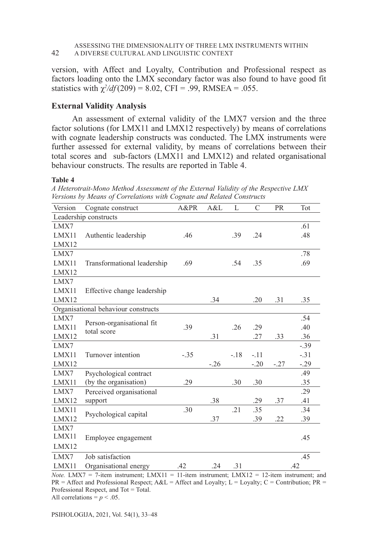#### ASSESSING THE DIMENSIONALITY OF THREE LMX INSTRUMENTS WITHIN 42 A DIVERSE CULTURAL AND LINGUISTIC CONTEXT

version, with Affect and Loyalty, Contribution and Professional respect as factors loading onto the LMX secondary factor was also found to have good fit statistics with  $\chi^2/df(209) = 8.02$ , CFI = .99, RMSEA = .055.

### **External Validity Analysis**

An assessment of external validity of the LMX7 version and the three factor solutions (for LMX11 and LMX12 respectively) by means of correlations with cognate leadership constructs was conducted. The LMX instruments were further assessed for external validity, by means of correlations between their total scores and sub-factors (LMX11 and LMX12) and related organisational behaviour constructs. The results are reported in Table 4.

#### **Table 4**

|                       | reisions by means of correlations with cognate and Kelatea constructs |        |       |        |               |           |         |  |
|-----------------------|-----------------------------------------------------------------------|--------|-------|--------|---------------|-----------|---------|--|
| Version               | Cognate construct                                                     | A&PR   | A&L   | L      | $\mathcal{C}$ | <b>PR</b> | Tot     |  |
| Leadership constructs |                                                                       |        |       |        |               |           |         |  |
| LMX7                  |                                                                       |        |       |        |               |           | .61     |  |
| LMX11                 | Authentic leadership                                                  | .46    |       | .39    | .24           |           | .48     |  |
| LMX12                 |                                                                       |        |       |        |               |           |         |  |
| LMX7                  |                                                                       |        |       |        |               |           | .78     |  |
| LMX11                 | Transformational leadership                                           | .69    |       | .54    | .35           |           | .69     |  |
| LMX12                 |                                                                       |        |       |        |               |           |         |  |
| LMX7                  |                                                                       |        |       |        |               |           |         |  |
| LMX11                 | Effective change leadership                                           |        |       |        |               |           |         |  |
| LMX12                 |                                                                       |        | .34   |        | .20           | .31       | .35     |  |
|                       | Organisational behaviour constructs                                   |        |       |        |               |           |         |  |
| LMX7                  |                                                                       |        |       |        |               |           | .54     |  |
| LMX11                 | Person-organisational fit<br>total score                              | .39    |       | .26    | .29           |           | .40     |  |
| LMX12                 |                                                                       |        | .31   |        | .27           | .33       | .36     |  |
| LMX7                  |                                                                       |        |       |        |               |           | $-.39$  |  |
| LMX11                 | Turnover intention                                                    | $-.35$ |       | $-.18$ | $-.11$        |           | $-.31$  |  |
| LMX12                 |                                                                       |        | $-26$ |        | $-.20$        | $-.27$    | $-0.29$ |  |
| LMX7                  | Psychological contract                                                |        |       |        |               |           | .49     |  |
| LMX11                 | (by the organisation)                                                 | .29    |       | .30    | .30           |           | .35     |  |
| LMX7                  | Perceived organisational                                              |        |       |        |               |           | .29     |  |
| LMX12                 | support                                                               |        | .38   |        | .29           | .37       | .41     |  |
| LMX11                 | Psychological capital                                                 | .30    |       | .21    | .35           |           | .34     |  |
| LMX12                 |                                                                       |        | .37   |        | .39           | .22       | .39     |  |
| LMX7                  |                                                                       |        |       |        |               |           |         |  |
| LMX11                 | Employee engagement                                                   |        |       |        |               |           | .45     |  |
| LMX12                 |                                                                       |        |       |        |               |           |         |  |
| LMX7                  | Job satisfaction                                                      |        |       |        |               |           | .45     |  |
| LMX11                 | Organisational energy                                                 | .42    | .24   | .31    |               |           | .42     |  |

*A Heterotrait-Mono Method Assessment of the External Validity of the Respective LMX Versions by Means of Correlations with Cognate and Related Constructs* 

*Note.* LMX7 = 7-item instrument; LMX11 = 11-item instrument; LMX12 = 12-item instrument; and  $PR =$  Affect and Professional Respect;  $A&L =$  Affect and Loyalty; L = Loyalty; C = Contribution; PR = Professional Respect, and Tot = Total. All correlations =  $p < .05$ .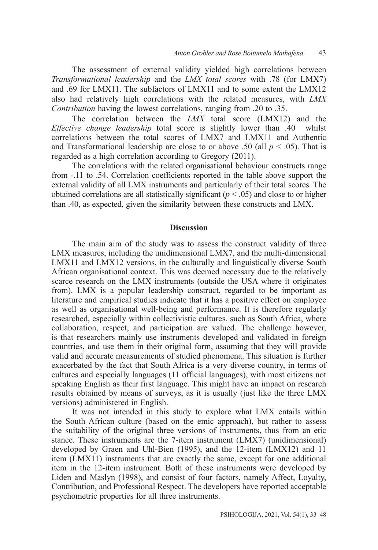The assessment of external validity yielded high correlations between *Transformational leadership* and the *LMX total scores* with .78 (for LMX7) and .69 for LMX11. The subfactors of LMX11 and to some extent the LMX12 also had relatively high correlations with the related measures, with *LMX Contribution* having the lowest correlations, ranging from .20 to .35.

The correlation between the *LMX* total score (LMX12) and the *Effective change leadership* total score is slightly lower than .40 whilst correlations between the total scores of LMX7 and LMX11 and Authentic and Transformational leadership are close to or above .50 (all  $p < .05$ ). That is regarded as a high correlation according to Gregory (2011).

The correlations with the related organisational behaviour constructs range from -.11 to .54. Correlation coefficients reported in the table above support the external validity of all LMX instruments and particularly of their total scores. The obtained correlations are all statistically significant ( $p < .05$ ) and close to or higher than .40, as expected, given the similarity between these constructs and LMX.

### **Discussion**

The main aim of the study was to assess the construct validity of three LMX measures, including the unidimensional LMX7, and the multi-dimensional LMX11 and LMX12 versions, in the culturally and linguistically diverse South African organisational context. This was deemed necessary due to the relatively scarce research on the LMX instruments (outside the USA where it originates from). LMX is a popular leadership construct, regarded to be important as literature and empirical studies indicate that it has a positive effect on employee as well as organisational well-being and performance. It is therefore regularly researched, especially within collectivistic cultures, such as South Africa, where collaboration, respect, and participation are valued. The challenge however, is that researchers mainly use instruments developed and validated in foreign countries, and use them in their original form, assuming that they will provide valid and accurate measurements of studied phenomena. This situation is further exacerbated by the fact that South Africa is a very diverse country, in terms of cultures and especially languages (11 official languages), with most citizens not speaking English as their first language. This might have an impact on research results obtained by means of surveys, as it is usually (just like the three LMX versions) administered in English.

It was not intended in this study to explore what LMX entails within the South African culture (based on the emic approach), but rather to assess the suitability of the original three versions of instruments, thus from an etic stance. These instruments are the 7-item instrument (LMX7) (unidimensional) developed by Graen and Uhl-Bien (1995), and the 12-item (LMX12) and 11 item (LMX11) instruments that are exactly the same, except for one additional item in the 12-item instrument. Both of these instruments were developed by Liden and Maslyn (1998), and consist of four factors, namely Affect, Loyalty, Contribution, and Professional Respect. The developers have reported acceptable psychometric properties for all three instruments.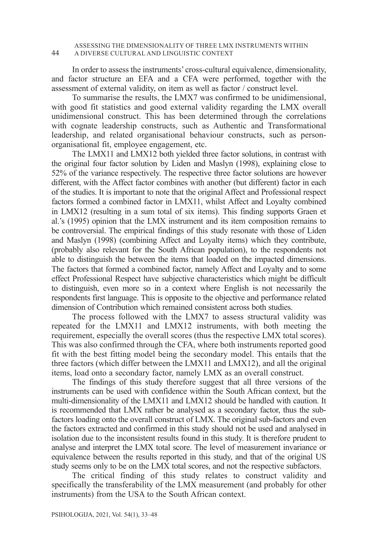### ASSESSING THE DIMENSIONALITY OF THREE LMX INSTRUMENTS WITHIN 44 A DIVERSE CULTURAL AND LINGUISTIC CONTEXT

In order to assess the instruments' cross-cultural equivalence, dimensionality, and factor structure an EFA and a CFA were performed, together with the assessment of external validity, on item as well as factor / construct level.

To summarise the results, the LMX7 was confirmed to be unidimensional, with good fit statistics and good external validity regarding the LMX overall unidimensional construct. This has been determined through the correlations with cognate leadership constructs, such as Authentic and Transformational leadership, and related organisational behaviour constructs, such as personorganisational fit, employee engagement, etc.

The LMX11 and LMX12 both yielded three factor solutions, in contrast with the original four factor solution by Liden and Maslyn (1998), explaining close to 52% of the variance respectively. The respective three factor solutions are however different, with the Affect factor combines with another (but different) factor in each of the studies. It is important to note that the original Affect and Professional respect factors formed a combined factor in LMX11, whilst Affect and Loyalty combined in LMX12 (resulting in a sum total of six items). This finding supports Graen et al.'s (1995) opinion that the LMX instrument and its item composition remains to be controversial. The empirical findings of this study resonate with those of Liden and Maslyn (1998) (combining Affect and Loyalty items) which they contribute, (probably also relevant for the South African population), to the respondents not able to distinguish the between the items that loaded on the impacted dimensions. The factors that formed a combined factor, namely Affect and Loyalty and to some effect Professional Respect have subjective characteristics which might be difficult to distinguish, even more so in a context where English is not necessarily the respondents first language. This is opposite to the objective and performance related dimension of Contribution which remained consistent across both studies.

The process followed with the LMX7 to assess structural validity was repeated for the LMX11 and LMX12 instruments, with both meeting the requirement, especially the overall scores (thus the respective LMX total scores). This was also confirmed through the CFA, where both instruments reported good fit with the best fitting model being the secondary model. This entails that the three factors (which differ between the LMX11 and LMX12), and all the original items, load onto a secondary factor, namely LMX as an overall construct.

The findings of this study therefore suggest that all three versions of the instruments can be used with confidence within the South African context, but the multi-dimensionality of the LMX11 and LMX12 should be handled with caution. It is recommended that LMX rather be analysed as a secondary factor, thus the subfactors loading onto the overall construct of LMX. The original sub-factors and even the factors extracted and confirmed in this study should not be used and analysed in isolation due to the inconsistent results found in this study. It is therefore prudent to analyse and interpret the LMX total score. The level of measurement invariance or equivalence between the results reported in this study, and that of the original US study seems only to be on the LMX total scores, and not the respective subfactors.

The critical finding of this study relates to construct validity and specifically the transferability of the LMX measurement (and probably for other instruments) from the USA to the South African context.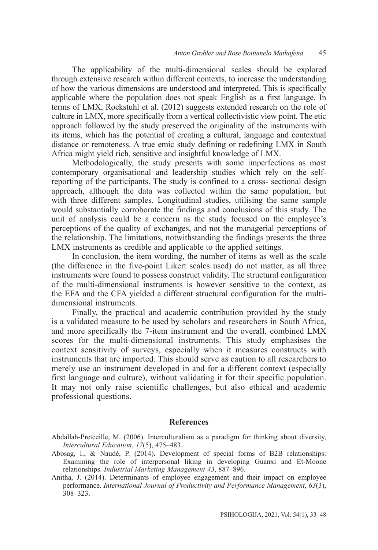The applicability of the multi-dimensional scales should be explored through extensive research within different contexts, to increase the understanding of how the various dimensions are understood and interpreted. This is specifically applicable where the population does not speak English as a first language. In terms of LMX, Rockstuhl et al. (2012) suggests extended research on the role of culture in LMX, more specifically from a vertical collectivistic view point. The etic approach followed by the study preserved the originality of the instruments with its items, which has the potential of creating a cultural, language and contextual distance or remoteness. A true emic study defining or redefining LMX in South Africa might yield rich, sensitive and insightful knowledge of LMX.

Methodologically, the study presents with some imperfections as most contemporary organisational and leadership studies which rely on the selfreporting of the participants. The study is confined to a cross- sectional design approach, although the data was collected within the same population, but with three different samples. Longitudinal studies, utilising the same sample would substantially corroborate the findings and conclusions of this study. The unit of analysis could be a concern as the study focused on the employee's perceptions of the quality of exchanges, and not the managerial perceptions of the relationship. The limitations, notwithstanding the findings presents the three LMX instruments as credible and applicable to the applied settings.

In conclusion, the item wording, the number of items as well as the scale (the difference in the five-point Likert scales used) do not matter, as all three instruments were found to possess construct validity. The structural configuration of the multi-dimensional instruments is however sensitive to the context, as the EFA and the CFA yielded a different structural configuration for the multidimensional instruments.

Finally, the practical and academic contribution provided by the study is a validated measure to be used by scholars and researchers in South Africa, and more specifically the 7-item instrument and the overall, combined LMX scores for the multi-dimensional instruments. This study emphasises the context sensitivity of surveys, especially when it measures constructs with instruments that are imported. This should serve as caution to all researchers to merely use an instrument developed in and for a different context (especially first language and culture), without validating it for their specific population. It may not only raise scientific challenges, but also ethical and academic professional questions.

### **References**

Abdallah-Pretceille, M. (2006). Interculturalism as a paradigm for thinking about diversity, *Intercultural Education*, *17*(5), 475–483.

- Abosag, I., & Naudé, P. (2014). Development of special forms of B2B relationships: Examining the role of interpersonal liking in developing Guanxi and Et-Moone relationships. *Industrial Marketing Management 43*, 887–896.
- Anitha, J. (2014). Determinants of employee engagement and their impact on employee performance. *International Journal of Productivity and Performance Management*, *63*(3), 308–323.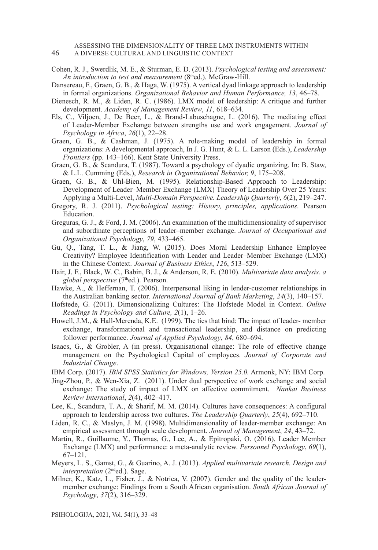#### ASSESSING THE DIMENSIONALITY OF THREE LMX INSTRUMENTS WITHIN 46 A DIVERSE CULTURAL AND LINGUISTIC CONTEXT

- Cohen, R. J., Swerdlik, M. E., & Sturman, E. D. (2013). *Psychological testing and assessment: An introduction to test and measurement* (8<sup>th</sup>ed.). McGraw-Hill.
- Dansereau, F., Graen, G. B., & Haga, W. (1975). A vertical dyad linkage approach to leadership in formal organizations. *Organizational Behavior and Human Performance, 13*, 46–78.
- Dienesch, R. M., & Liden, R. C. (1986). LMX model of leadership: A critique and further development. *Academy of Management Review*, *11*, 618–634.
- Els, C., Viljoen, J., De Beer, L., & Brand-Labuschagne, L. (2016). The mediating effect of Leader-Member Exchange between strengths use and work engagement. *Journal of Psychology in Africa*, *26*(1), 22–28.
- Graen, G. B., & Cashman, J. (1975). A role-making model of leadership in formal organizations: A developmental approach, In J. G. Hunt, & L. L. Larson (Eds.), *Leadership Frontiers* (pp. 143–166). Kent State University Press.
- Graen, G. B., & Scandura, T. (1987). Toward a psychology of dyadic organizing. In: B. Staw, & L.L. Cumming (Eds.), *Research in Organizational Behavior, 9*, 175–208.
- Graen, G. B., & Uhl-Bien, M. (1995). Relationship-Based Approach to Leadership: Development of Leader–Member Exchange (LMX) Theory of Leadership Over 25 Years: Applying a Multi-Level, *Multi-Domain Perspective. Leadership Quarterly*, *6*(2), 219–247.
- Gregory, R. J. (2011). *Psychological testing: History, principles, applications*. Pearson Education.
- Greguras, G. J., & Ford, J. M. (2006). An examination of the multidimensionality of supervisor and subordinate perceptions of leader–member exchange. *Journal of Occupational and Organizational Psychology*, *79*, 433–465.
- Gu, Q., Tang, T. L., & Jiang, W. (2015). Does Moral Leadership Enhance Employee Creativity? Employee Identification with Leader and Leader–Member Exchange (LMX) in the Chinese Context. *Journal of Business Ethics*, *126*, 513–529.
- Hair, J. F., Black, W. C., Babin, B. J., & Anderson, R. E. (2010). *Multivariate data analysis. a global perspective* (7thed.). Pearson.
- Hawke, A., & Heffernan, T. (2006). Interpersonal liking in lender-customer relationships in the Australian banking sector*. International Journal of Bank Marketing*, *24*(3), 140–157.
- Hofstede, G. (2011). Dimensionalizing Cultures: The Hofstede Model in Context. *Online Readings in Psychology and Culture, 2*(1), 1–26.
- Howell, J.M., & Hall-Merenda, K.E. (1999). The ties that bind: The impact of leader- member exchange, transformational and transactional leadership, and distance on predicting follower performance. *Journal of Applied Psychology*, *84*, 680–694.
- Isaacs, G., & Grobler, A (in press). Organisational change: The role of effective change management on the Psychological Capital of employees. *Journal of Corporate and Industrial Change*.
- IBM Corp. (2017). *IBM SPSS Statistics for Windows, Version 25.0.* Armonk, NY: IBM Corp.
- Jing-Zhou, P., & Wen-Xia, Z. (2011). Under dual perspective of work exchange and social exchange: The study of impact of LMX on affective commitment. *Nankai Business Review International*, *2*(4), 402–417.
- Lee, K., Scandura, T. A., & Sharif, M. M. (2014). Cultures have consequences: A configural approach to leadership across two cultures. *The Leadership Quarterly*, *25*(4), 692–710.
- Liden, R. C., & Maslyn, J. M. (1998). Multidimensionality of leader-member exchange: An empirical assessment through scale development. *Journal of Management*, *24*, 43–72.
- Martin, R., Guillaume, Y., Thomas, G., Lee, A., & Epitropaki, O. (2016). Leader Member Exchange (LMX) and performance: a meta-analytic review. *Personnel Psychology*, *69*(1), 67–121.
- Meyers, L. S., Gamst, G., & Guarino, A. J. (2013). *Applied multivariate research. Design and interpretation* (2nded.). Sage.
- Milner, K., Katz, L., Fisher, J., & Notrica, V. (2007). Gender and the quality of the leadermember exchange: Findings from a South African organisation. *South African Journal of Psychology*, *37*(2), 316–329.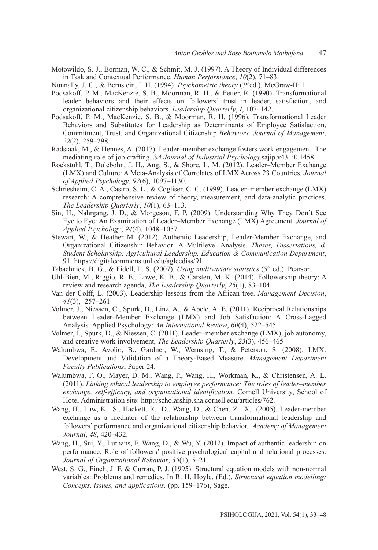Motowildo, S. J., Borman, W. C., & Schmit, M. J. (1997). A Theory of Individual differences in Task and Contextual Performance. *Human Performance*, *10*(2), 71–83.

Nunnally, J. C., & Bernstein, I. H. (1994). *Psychometric theory* (3<sup>rd</sup>ed.). McGraw-Hill.

- Podsakoff, P. M., MacKenzie, S. B., Moorman, R. H., & Fetter, R. (1990). Transformational leader behaviors and their effects on followers' trust in leader, satisfaction, and organizational citizenship behaviors. *Leadership Quarterly*, *I*, 107–142.
- Podsakoff, P. M., MacKenzie, S. B., & Moorman, R. H. (1996). Transformational Leader Behaviors and Substitutes for Leadership as Determinants of Employee Satisfaction, Commitment, Trust, and Organizational Citizenship *Behaviors. Journal of Management*, *22*(2), 259–298.
- Radstaak, M., & Hennes, A. (2017). Leader–member exchange fosters work engagement: The mediating role of job crafting. *SA Journal of Industrial Psychology.*sajip.v43. i0.1458.
- Rockstuhl, T., Dulebohn, J. H., Ang, S., & Shore, L. M. (2012). Leader–Member Exchange (LMX) and Culture: A Meta-Analysis of Correlates of LMX Across 23 Countries. *Journal of Applied Psychology*, *97*(6), 1097–1130.
- Schriesheim, C. A., Castro, S. L., & Cogliser, C. C. (1999). Leader–member exchange (LMX) research: A comprehensive review of theory, measurement, and data-analytic practices. *The Leadership Quarterly*, *10*(1), 63–113.
- Sin, H., Nahrgang, J. D., & Morgeson, F. P. (2009). Understanding Why They Don't See Eye to Eye: An Examination of Leader–Member Exchange (LMX) Agreement. *Journal of Applied Psychology*, *94*(4), 1048–1057.
- Stewart, W., & Heather M. (2012). Authentic Leadership, Leader-Member Exchange, and Organizational Citizenship Behavior: A Multilevel Analysis. *Theses, Dissertations, & Student Scholarship: Agricultural Leadership, Education & Communication Department*, 91. https://digitalcommons.unl.edu/aglecdiss/91
- Tabachnick, B. G., & Fidell, L. S. (2007). *Using multivariate statistics* (5<sup>th</sup> ed.). Pearson.
- Uhl-Bien, M., Riggio, R. E., Lowe, K. B., & Carsten, M. K. (2014). Followership theory: A review and research agenda, *The Leadership Quarterly*, *25*(1), 83–104.
- Van der Colff, L. (2003). Leadership lessons from the African tree. *Management Decision*, *41*(3), 257–261.
- Volmer, J., Niessen, C., Spurk, D., Linz, A., & Abele, A. E. (2011). Reciprocal Relationships between Leader–Member Exchange (LMX) and Job Satisfaction: A Cross-Lagged Analysis. Applied Psychology: *An International Review*, *60*(4), 522–545.
- Volmer, J., Spurk, D., & Niessen, C. (2011). Leader–member exchange (LMX), job autonomy, and creative work involvement, *The Leadership Quarterly*, *23*(3), 456–465
- Walumbwa, F., Avolio, B., Gardner, W., Wernsing, T., & Peterson, S. (2008). LMX: Development and Validation of a Theory-Based Measure. *Management Department Faculty Publications*, Paper 24.
- Walumbwa, F. O., Mayer, D. M., Wang, P., Wang, H., Workman, K., & Christensen, A. L. (2011). *Linking ethical leadership to employee performance: The roles of leader–member exchange, self-efficacy, and organizational identification.* Cornell University, School of Hotel Administration site: http://scholarship.sha.cornell.edu/articles/762.
- Wang, H., Law, K. S., Hackett, R. D., Wang, D., & Chen, Z. X. (2005). Leader-member exchange as a mediator of the relationship between transformational leadership and followers' performance and organizational citizenship behavior. *Academy of Management Journal*, *48*, 420–432.
- Wang, H., Sui, Y., Luthans, F. Wang, D., & Wu, Y. (2012). Impact of authentic leadership on performance: Role of followers' positive psychological capital and relational processes. *Journal of Organizational Behavior*, *35*(1), 5–21.
- West, S. G., Finch, J. F. & Curran, P. J. (1995). Structural equation models with non-normal variables: Problems and remedies, In R. H. Hoyle. (Ed.), *Structural equation modelling: Concepts, issues, and applications,* (pp. 159–176), Sage.